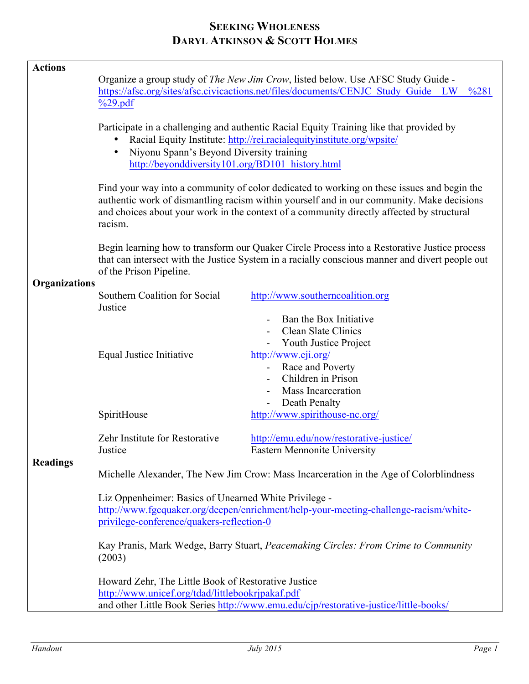## **SEEKING WHOLENESS DARYL ATKINSON & SCOTT HOLMES**

| <b>Actions</b>       |                                                                                                                                                                                                                                                                                                 |                                                                                                                                                                                              |
|----------------------|-------------------------------------------------------------------------------------------------------------------------------------------------------------------------------------------------------------------------------------------------------------------------------------------------|----------------------------------------------------------------------------------------------------------------------------------------------------------------------------------------------|
|                      | Organize a group study of <i>The New Jim Crow</i> , listed below. Use AFSC Study Guide -<br>https://afsc.org/sites/afsc.civicactions.net/files/documents/CENJC Study Guide LW<br>$\frac{6281}{2}$<br>$\%$ 29.pdf                                                                                |                                                                                                                                                                                              |
|                      | Participate in a challenging and authentic Racial Equity Training like that provided by<br>Racial Equity Institute: http://rei.racialequityinstitute.org/wpsite/<br>Niyonu Spann's Beyond Diversity training<br>$\bullet$<br>http://beyonddiversity101.org/BD101_history.html                   |                                                                                                                                                                                              |
|                      | Find your way into a community of color dedicated to working on these issues and begin the<br>authentic work of dismantling racism within yourself and in our community. Make decisions<br>and choices about your work in the context of a community directly affected by structural<br>racism. |                                                                                                                                                                                              |
|                      | Begin learning how to transform our Quaker Circle Process into a Restorative Justice process<br>that can intersect with the Justice System in a racially conscious manner and divert people out<br>of the Prison Pipeline.                                                                      |                                                                                                                                                                                              |
| <b>Organizations</b> | Southern Coalition for Social<br>Justice                                                                                                                                                                                                                                                        | http://www.southerncoalition.org                                                                                                                                                             |
|                      | Equal Justice Initiative                                                                                                                                                                                                                                                                        | Ban the Box Initiative<br><b>Clean Slate Clinics</b><br>Youth Justice Project<br>http://www.eji.org/<br>Race and Poverty<br>Children in Prison<br><b>Mass Incarceration</b><br>Death Penalty |
| <b>Readings</b>      | SpiritHouse                                                                                                                                                                                                                                                                                     | http://www.spirithouse-nc.org/                                                                                                                                                               |
|                      | Zehr Institute for Restorative<br>Justice                                                                                                                                                                                                                                                       | http://emu.edu/now/restorative-justice/<br>Eastern Mennonite University                                                                                                                      |
|                      | Michelle Alexander, The New Jim Crow: Mass Incarceration in the Age of Colorblindness                                                                                                                                                                                                           |                                                                                                                                                                                              |
|                      | Liz Oppenheimer: Basics of Unearned White Privilege -<br>http://www.fgcquaker.org/deepen/enrichment/help-your-meeting-challenge-racism/white-<br>privilege-conference/quakers-reflection-0                                                                                                      |                                                                                                                                                                                              |
|                      | Kay Pranis, Mark Wedge, Barry Stuart, Peacemaking Circles: From Crime to Community<br>(2003)                                                                                                                                                                                                    |                                                                                                                                                                                              |
|                      | Howard Zehr, The Little Book of Restorative Justice<br>http://www.unicef.org/tdad/littlebookrjpakaf.pdf<br>and other Little Book Series http://www.emu.edu/cjp/restorative-justice/little-books/                                                                                                |                                                                                                                                                                                              |